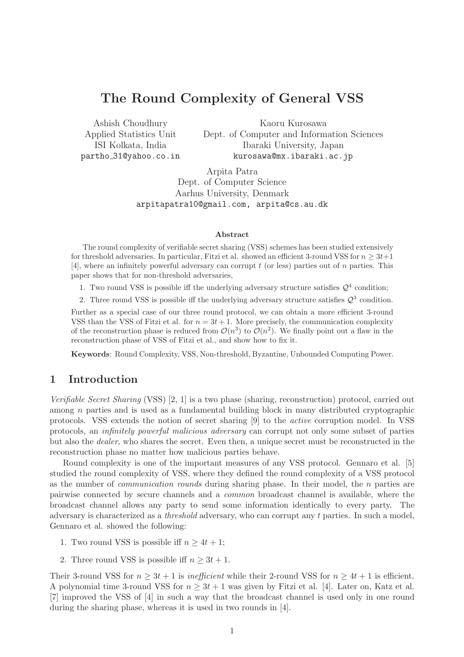# The Round Complexity of General VSS

Ashish Choudhury Applied Statistics Unit ISI Kolkata, India partho 31@yahoo.co.in

Kaoru Kurosawa Dept. of Computer and Information Sciences Ibaraki University, Japan kurosawa@mx.ibaraki.ac.jp

Arpita Patra Dept. of Computer Science Aarhus University, Denmark arpitapatra10@gmail.com, arpita@cs.au.dk

### Abstract

The round complexity of verifiable secret sharing (VSS) schemes has been studied extensively for threshold adversaries. In particular, Fitzi et al. showed an efficient 3-round VSS for  $n \geq 3t+1$  $[4]$ , where an infinitely powerful adversary can corrupt t (or less) parties out of n parties. This paper shows that for non-threshold adversaries,

1. Two round VSS is possible iff the underlying adversary structure satisfies  $\mathcal{Q}^4$  condition;

2. Three round VSS is possible iff the underlying adversary structure satisfies  $\mathcal{Q}^3$  condition.

Further as a special case of our three round protocol, we can obtain a more efficient 3-round VSS than the VSS of Fitzi et al. for  $n = 3t + 1$ . More precisely, the communication complexity of the reconstruction phase is reduced from  $\mathcal{O}(n^3)$  to  $\mathcal{O}(n^2)$ . We finally point out a flaw in the reconstruction phase of VSS of Fitzi et al., and show how to fix it.

Keywords: Round Complexity, VSS, Non-threshold, Byzantine, Unbounded Computing Power.

# 1 Introduction

Verifiable Secret Sharing (VSS) [2, 1] is a two phase (sharing, reconstruction) protocol, carried out among n parties and is used as a fundamental building block in many distributed cryptographic protocols. VSS extends the notion of secret sharing [9] to the active corruption model. In VSS protocols, an infinitely powerful malicious adversary can corrupt not only some subset of parties but also the dealer, who shares the secret. Even then, a unique secret must be reconstructed in the reconstruction phase no matter how malicious parties behave.

Round complexity is one of the important measures of any VSS protocol. Gennaro et al. [5] studied the round complexity of VSS, where they defined the round complexity of a VSS protocol as the number of *communication rounds* during sharing phase. In their model, the  $n$  parties are pairwise connected by secure channels and a common broadcast channel is available, where the broadcast channel allows any party to send some information identically to every party. The adversary is characterized as a threshold adversary, who can corrupt any t parties. In such a model, Gennaro et al. showed the following:

- 1. Two round VSS is possible iff  $n > 4t + 1$ ;
- 2. Three round VSS is possible iff  $n \geq 3t + 1$ .

Their 3-round VSS for  $n \geq 3t + 1$  is inefficient while their 2-round VSS for  $n \geq 4t + 1$  is efficient. A polynomial time 3-round VSS for  $n \geq 3t + 1$  was given by Fitzi et al. [4]. Later on, Katz et al. [7] improved the VSS of [4] in such a way that the broadcast channel is used only in one round during the sharing phase, whereas it is used in two rounds in [4].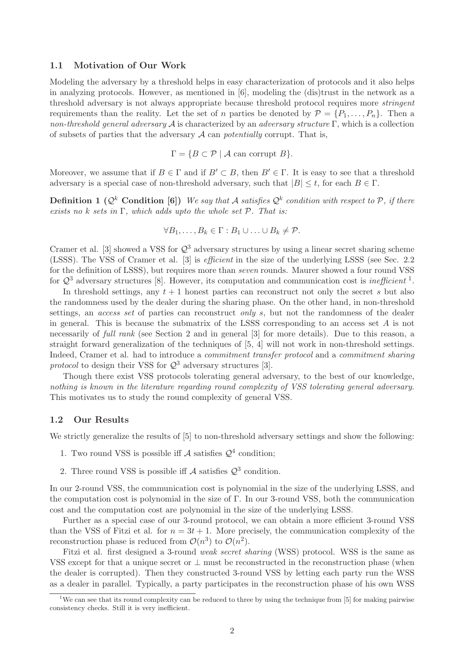### 1.1 Motivation of Our Work

Modeling the adversary by a threshold helps in easy characterization of protocols and it also helps in analyzing protocols. However, as mentioned in [6], modeling the (dis)trust in the network as a threshold adversary is not always appropriate because threshold protocol requires more stringent requirements than the reality. Let the set of *n* parties be denoted by  $\mathcal{P} = \{P_1, \ldots, P_n\}$ . Then a non-threshold general adversary A is characterized by an adversary structure  $\Gamma$ , which is a collection of subsets of parties that the adversary  $A$  can *potentially* corrupt. That is,

$$
\Gamma = \{ B \subset \mathcal{P} \mid \mathcal{A} \text{ can corrupt } B \}.
$$

Moreover, we assume that if  $B \in \Gamma$  and if  $B' \subset B$ , then  $B' \in \Gamma$ . It is easy to see that a threshold adversary is a special case of non-threshold adversary, such that  $|B| \leq t$ , for each  $B \in \Gamma$ .

**Definition 1** ( $\mathcal{Q}^k$  Condition [6]) We say that A satisfies  $\mathcal{Q}^k$  condition with respect to P, if there exists no k sets in  $\Gamma$ , which adds upto the whole set  $\mathcal{P}$ . That is:

$$
\forall B_1,\ldots,B_k\in\Gamma:B_1\cup\ldots\cup B_k\neq\mathcal{P}.
$$

Cramer et al. [3] showed a VSS for  $\mathcal{Q}^3$  adversary structures by using a linear secret sharing scheme (LSSS). The VSS of Cramer et al. [3] is efficient in the size of the underlying LSSS (see Sec. 2.2 for the definition of LSSS), but requires more than *seven* rounds. Maurer showed a four round VSS for  $\mathcal{Q}^3$  adversary structures [8]. However, its computation and communication cost is *inefficient*<sup>1</sup>.

In threshold settings, any  $t + 1$  honest parties can reconstruct not only the secret s but also the randomness used by the dealer during the sharing phase. On the other hand, in non-threshold settings, an *access set* of parties can reconstruct *only s*, but not the randomness of the dealer in general. This is because the submatrix of the LSSS corresponding to an access set  $A$  is not necessarily of *full rank* (see Section 2 and in general [3] for more details). Due to this reason, a straight forward generalization of the techniques of [5, 4] will not work in non-threshold settings. Indeed, Cramer et al. had to introduce a *commitment transfer protocol* and a *commitment sharing* protocol to design their VSS for  $\mathcal{Q}^3$  adversary structures [3].

Though there exist VSS protocols tolerating general adversary, to the best of our knowledge, nothing is known in the literature regarding round complexity of VSS tolerating general adversary. This motivates us to study the round complexity of general VSS.

### 1.2 Our Results

We strictly generalize the results of [5] to non-threshold adversary settings and show the following:

- 1. Two round VSS is possible iff  $A$  satisfies  $\mathcal{Q}^4$  condition;
- 2. Three round VSS is possible iff  $\mathcal A$  satisfies  $\mathcal Q^3$  condition.

In our 2-round VSS, the communication cost is polynomial in the size of the underlying LSSS, and the computation cost is polynomial in the size of Γ. In our 3-round VSS, both the communication cost and the computation cost are polynomial in the size of the underlying LSSS.

Further as a special case of our 3-round protocol, we can obtain a more efficient 3-round VSS than the VSS of Fitzi et al. for  $n = 3t + 1$ . More precisely, the communication complexity of the reconstruction phase is reduced from  $\mathcal{O}(n^3)$  to  $\mathcal{O}(n^2)$ .

Fitzi et al. first designed a 3-round *weak secret sharing* (WSS) protocol. WSS is the same as VSS except for that a unique secret or  $\perp$  must be reconstructed in the reconstruction phase (when the dealer is corrupted). Then they constructed 3-round VSS by letting each party run the WSS as a dealer in parallel. Typically, a party participates in the reconstruction phase of his own WSS

<sup>&</sup>lt;sup>1</sup>We can see that its round complexity can be reduced to three by using the technique from  $[5]$  for making pairwise consistency checks. Still it is very inefficient.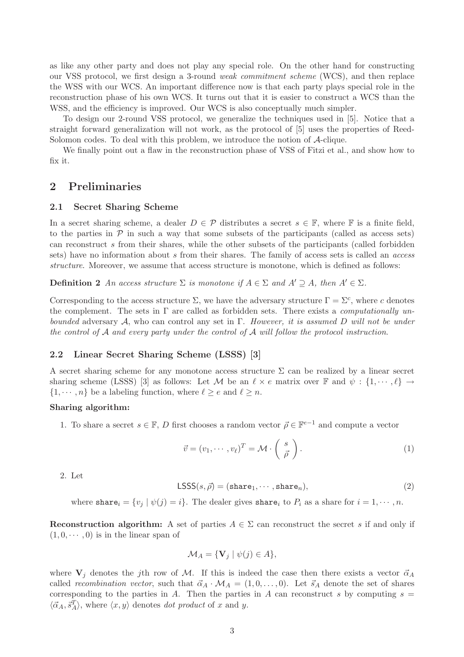as like any other party and does not play any special role. On the other hand for constructing our VSS protocol, we first design a 3-round weak commitment scheme (WCS), and then replace the WSS with our WCS. An important difference now is that each party plays special role in the reconstruction phase of his own WCS. It turns out that it is easier to construct a WCS than the WSS, and the efficiency is improved. Our WCS is also conceptually much simpler.

To design our 2-round VSS protocol, we generalize the techniques used in [5]. Notice that a straight forward generalization will not work, as the protocol of [5] uses the properties of Reed-Solomon codes. To deal with this problem, we introduce the notion of A-clique.

We finally point out a flaw in the reconstruction phase of VSS of Fitzi et al., and show how to fix it.

# 2 Preliminaries

### 2.1 Secret Sharing Scheme

In a secret sharing scheme, a dealer  $D \in \mathcal{P}$  distributes a secret  $s \in \mathbb{F}$ , where  $\mathbb{F}$  is a finite field, to the parties in  $P$  in such a way that some subsets of the participants (called as access sets) can reconstruct s from their shares, while the other subsets of the participants (called forbidden sets) have no information about s from their shares. The family of access sets is called an *access* structure. Moreover, we assume that access structure is monotone, which is defined as follows:

**Definition 2** An access structure  $\Sigma$  is monotone if  $A \in \Sigma$  and  $A' \supset A$ , then  $A' \in \Sigma$ .

Corresponding to the access structure  $\Sigma$ , we have the adversary structure  $\Gamma = \Sigma^c$ , where c denotes the complement. The sets in  $\Gamma$  are called as forbidden sets. There exists a *computationally un*bounded adversary A, who can control any set in  $\Gamma$ . However, it is assumed D will not be under the control of  $A$  and every party under the control of  $A$  will follow the protocol instruction.

## 2.2 Linear Secret Sharing Scheme (LSSS) [3]

A secret sharing scheme for any monotone access structure  $\Sigma$  can be realized by a linear secret sharing scheme (LSSS) [3] as follows: Let M be an  $\ell \times e$  matrix over F and  $\psi : \{1, \dots, \ell\} \to$  $\{1, \dots, n\}$  be a labeling function, where  $\ell \ge e$  and  $\ell \ge n$ .

### Sharing algorithm:

1. To share a secret  $s \in \mathbb{F}$ , D first chooses a random vector  $\vec{\rho} \in \mathbb{F}^{e-1}$  and compute a vector

$$
\vec{v} = (v_1, \cdots, v_\ell)^T = \mathcal{M} \cdot \begin{pmatrix} s \\ \vec{\rho} \end{pmatrix}.
$$
 (1)

2. Let

$$
\text{LSSS}(s,\vec{\rho}) = (\text{share}_1, \cdots, \text{share}_n),\tag{2}
$$

where share  $i = \{v_j | \psi(j) = i\}$ . The dealer gives share to  $P_i$  as a share for  $i = 1, \dots, n$ .

Reconstruction algorithm: A set of parties  $A \in \Sigma$  can reconstruct the secret s if and only if  $(1, 0, \dots, 0)$  is in the linear span of

$$
\mathcal{M}_A = \{ \mathbf{V}_j \mid \psi(j) \in A \},
$$

where  $V_j$  denotes the jth row of M. If this is indeed the case then there exists a vector  $\vec{\alpha}_A$ called recombination vector, such that  $\vec{\alpha}_A \cdot \mathcal{M}_A = (1, 0, \ldots, 0)$ . Let  $\vec{s}_A$  denote the set of shares corresponding to the parties in A. Then the parties in A can reconstruct s by computing  $s =$  $\langle \vec{\alpha}_A, \vec{s}_A^T \rangle$ , where  $\langle x, y \rangle$  denotes *dot product* of x and y.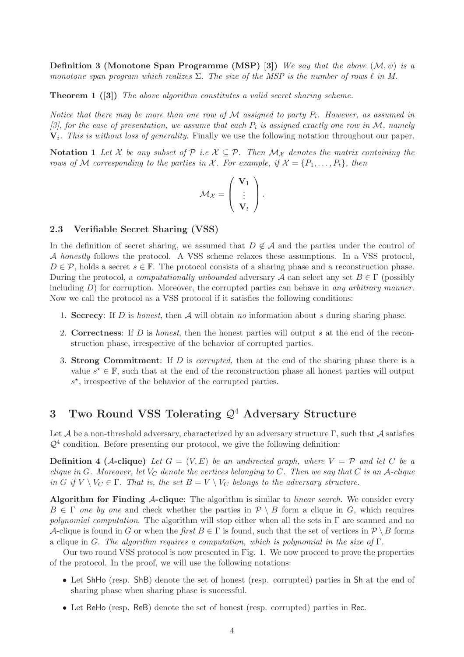**Definition 3 (Monotone Span Programme (MSP) [3])** We say that the above  $(\mathcal{M}, \psi)$  is a monotone span program which realizes  $\Sigma$ . The size of the MSP is the number of rows  $\ell$  in M.

**Theorem 1** ([3]) The above algorithm constitutes a valid secret sharing scheme.

Notice that there may be more than one row of M assigned to party  $P_i$ . However, as assumed in [3], for the ease of presentation, we assume that each  $P_i$  is assigned exactly one row in M, namely  $V_i$ . This is without loss of generality. Finally we use the following notation throughout our paper.

Notation 1 Let X be any subset of P i.e  $X \subseteq P$ . Then  $\mathcal{M}_X$  denotes the matrix containing the rows of M corresponding to the parties in X. For example, if  $X = \{P_1, \ldots, P_t\}$ , then

$$
\mathcal{M}_{\mathcal{X}} = \left( \begin{array}{c} \mathbf{V}_1 \\ \vdots \\ \mathbf{V}_t \end{array} \right).
$$

### 2.3 Verifiable Secret Sharing (VSS)

In the definition of secret sharing, we assumed that  $D \notin \mathcal{A}$  and the parties under the control of A honestly follows the protocol. A VSS scheme relaxes these assumptions. In a VSS protocol,  $D \in \mathcal{P}$ , holds a secret  $s \in \mathbb{F}$ . The protocol consists of a sharing phase and a reconstruction phase. During the protocol, a *computationally unbounded* adversary A can select any set  $B \in \Gamma$  (possibly including  $D$ ) for corruption. Moreover, the corrupted parties can behave in any arbitrary manner. Now we call the protocol as a VSS protocol if it satisfies the following conditions:

- 1. Secrecy: If D is honest, then  $A$  will obtain no information about s during sharing phase.
- 2. Correctness: If  $D$  is *honest*, then the honest parties will output  $s$  at the end of the reconstruction phase, irrespective of the behavior of corrupted parties.
- 3. Strong Commitment: If D is *corrupted*, then at the end of the sharing phase there is a value  $s^* \in \mathbb{F}$ , such that at the end of the reconstruction phase all honest parties will output s ⋆ , irrespective of the behavior of the corrupted parties.

# 3 Two Round VSS Tolerating  $\mathcal{Q}^4$  Adversary Structure

Let  $\mathcal A$  be a non-threshold adversary, characterized by an adversary structure Γ, such that  $\mathcal A$  satisfies  $\mathcal{Q}^4$  condition. Before presenting our protocol, we give the following definition:

**Definition 4 (A-clique)** Let  $G = (V, E)$  be an undirected graph, where  $V = \mathcal{P}$  and let C be a clique in G. Moreover, let  $V_C$  denote the vertices belonging to C. Then we say that C is an A-clique in G if  $V \setminus V_C \in \Gamma$ . That is, the set  $B = V \setminus V_C$  belongs to the adversary structure.

Algorithm for Finding  $A$ -clique: The algorithm is similar to *linear search*. We consider every  $B \in \Gamma$  one by one and check whether the parties in  $\mathcal{P} \setminus B$  form a clique in G, which requires polynomial computation. The algorithm will stop either when all the sets in  $\Gamma$  are scanned and no A-clique is found in G or when the first  $B \in \Gamma$  is found, such that the set of vertices in  $\mathcal{P} \setminus B$  forms a clique in G. The algorithm requires a computation, which is polynomial in the size of  $\Gamma$ .

Our two round VSS protocol is now presented in Fig. 1. We now proceed to prove the properties of the protocol. In the proof, we will use the following notations:

- Let ShHo (resp. ShB) denote the set of honest (resp. corrupted) parties in Sh at the end of sharing phase when sharing phase is successful.
- Let ReHo (resp. ReB) denote the set of honest (resp. corrupted) parties in Rec.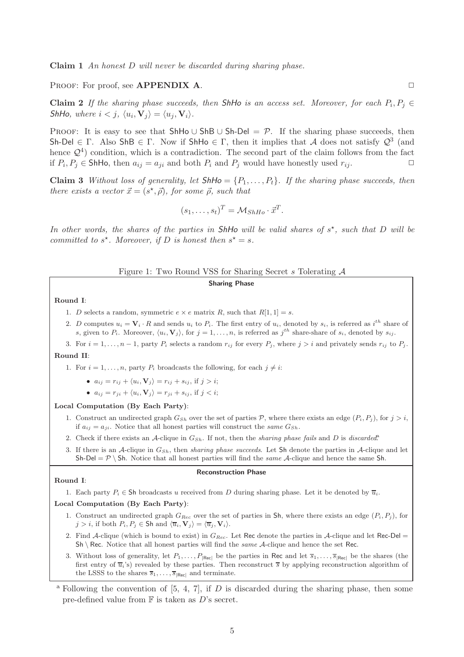Claim 1 An honest D will never be discarded during sharing phase.

PROOF: For proof, see **APPENDIX A.**  $\Box$ 

**Claim 2** If the sharing phase succeeds, then ShHo is an access set. Moreover, for each  $P_i, P_j \in$ ShHo, where  $i < j$ ,  $\langle u_i, V_j \rangle = \langle u_j, V_i \rangle$ .

PROOF: It is easy to see that ShHo ∪ ShB ∪ Sh-Del =  $\mathcal{P}$ . If the sharing phase succeeds, then Sh-Del  $\in \Gamma$ . Also ShB  $\in \Gamma$ . Now if ShHo  $\in \Gamma$ , then it implies that A does not satisfy  $\mathcal{Q}^3$  (and hence  $\mathcal{Q}^4$ ) condition, which is a contradiction. The second part of the claim follows from the fact if  $P_i, P_j \in$  ShHo, then  $a_{ij} = a_{ji}$  and both  $P_i$  and  $P_j$  would have honestly used  $r_{ij}$ .

**Claim 3** Without loss of generality, let  $\mathsf{ShHo} = \{P_1,\ldots,P_t\}$ . If the sharing phase succeeds, then there exists a vector  $\vec{x} = (s^*, \vec{\rho})$ , for some  $\vec{\rho}$ , such that

$$
(s_1, \ldots, s_t)^T = \mathcal{M}_{ShHo} \cdot \vec{x}^T.
$$

In other words, the shares of the parties in ShHo will be valid shares of  $s^*$ , such that D will be committed to  $s^*$ . Moreover, if D is honest then  $s^* = s$ .

## Figure 1: Two Round VSS for Sharing Secret s Tolerating A

## Sharing Phase

#### Round I:

- 1. D selects a random, symmetric  $e \times e$  matrix R, such that  $R[1, 1] = s$ .
- 2. D computes  $u_i = \mathbf{V}_i \cdot R$  and sends  $u_i$  to  $P_i$ . The first entry of  $u_i$ , denoted by  $s_i$ , is referred as  $i^{th}$  share of s, given to  $P_i$ . Moreover,  $\langle u_i, \mathbf{V}_j \rangle$ , for  $j = 1, \ldots, n$ , is referred as  $j^{th}$  share-share of  $s_i$ , denoted by  $s_{ij}$ .
- 3. For  $i = 1, \ldots, n 1$ , party  $P_i$  selects a random  $r_{ij}$  for every  $P_j$ , where  $j > i$  and privately sends  $r_{ij}$  to  $P_j$ .

# Round II:

1. For  $i = 1, \ldots, n$ , party  $P_i$  broadcasts the following, for each  $j \neq i$ :

- $a_{ij} = r_{ij} + \langle u_i, V_j \rangle = r_{ij} + s_{ij}$ , if  $j > i$ ;
- $a_{ij} = r_{ji} + \langle u_i, \mathbf{V}_j \rangle = r_{ji} + s_{ij}$ , if  $j < i$ ;

#### Local Computation (By Each Party):

- 1. Construct an undirected graph  $G_{Sh}$  over the set of parties P, where there exists an edge  $(P_i, P_j)$ , for  $j > i$ , if  $a_{ij} = a_{ji}$ . Notice that all honest parties will construct the same  $G_{Sh}$ .
- 2. Check if there exists an A-clique in  $G_{Sh}$ . If not, then the sharing phase fails and D is discarded.
- 3. If there is an A-clique in  $G_{Sh}$ , then sharing phase succeeds. Let Sh denote the parties in A-clique and let Sh-Del =  $\mathcal{P} \setminus$  Sh. Notice that all honest parties will find the *same A*-clique and hence the same Sh.

#### Reconstruction Phase

#### Round I:

1. Each party  $P_i \in Sh$  broadcasts u received from D during sharing phase. Let it be denoted by  $\overline{u}_i$ .

### Local Computation (By Each Party):

- 1. Construct an undirected graph  $G_{Rec}$  over the set of parties in Sh, where there exists an edge  $(P_i, P_j)$ , for  $j > i$ , if both  $P_i, P_j \in Sh$  and  $\langle \overline{u}_i, V_j \rangle = \langle \overline{u}_j, V_i \rangle$ .
- 2. Find A-clique (which is bound to exist) in  $G_{Rec}$ . Let Rec denote the parties in A-clique and let Rec-Del =  $\text{Sh} \setminus \text{Rec}$ . Notice that all honest parties will find the *same* A-clique and hence the set Rec.
- 3. Without loss of generality, let  $P_1, \ldots, P_{|\text{Rec}|}$  be the parties in Rec and let  $\overline{s}_1, \ldots, \overline{s}_{|\text{Rec}|}$  be the shares (the first entry of  $\overline{u_i}$ 's) revealed by these parties. Then reconstruct  $\overline{s}$  by applying reconstruction algorithm of the LSSS to the shares  $\overline{s}_1, \ldots, \overline{s}_{|\text{Rec}|}$  and terminate.

<sup>a</sup> Following the convention of [5, 4, 7], if D is discarded during the sharing phase, then some pre-defined value from  $\mathbb F$  is taken as D's secret.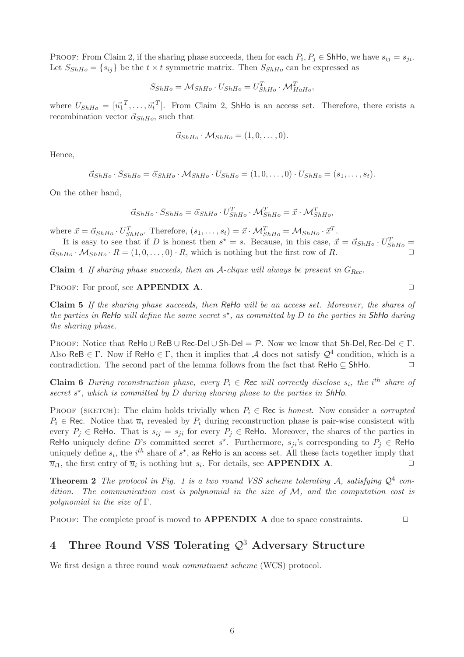PROOF: From Claim 2, if the sharing phase succeeds, then for each  $P_i, P_j \in ShHo$ , we have  $s_{ij} = s_{ji}$ . Let  $S_{ShHo} = \{s_{ij}\}\$ be the  $t \times t$  symmetric matrix. Then  $S_{ShHo}$  can be expressed as

$$
S_{ShHo} = \mathcal{M}_{ShHo} \cdot U_{ShHo} = U_{ShHo}^T \cdot \mathcal{M}_{HaHo}^T,
$$

where  $U_{ShHo} = [\vec{u_1}^T, \ldots, \vec{u_t}^T]$ . From Claim 2, ShHo is an access set. Therefore, there exists a recombination vector  $\vec{\alpha}_{ShHo}$ , such that

$$
\vec{\alpha}_{ShHo} \cdot \mathcal{M}_{ShHo} = (1,0,\ldots,0).
$$

Hence,

$$
\vec{\alpha}_{ShHo} \cdot S_{ShHo} = \vec{\alpha}_{ShHo} \cdot \mathcal{M}_{ShHo} \cdot U_{ShHo} = (1,0,\ldots,0) \cdot U_{ShHo} = (s_1,\ldots,s_t).
$$

On the other hand,

$$
\vec{\alpha}_{ShHo} \cdot S_{ShHo} = \vec{\alpha}_{ShHo} \cdot U_{ShHo}^T \cdot \mathcal{M}_{ShHo}^T = \vec{x} \cdot \mathcal{M}_{ShHo}^T,
$$

where  $\vec{x} = \vec{\alpha}_{ShHo} \cdot U_{ShHo}^T$ . Therefore,  $(s_1, \ldots, s_t) = \vec{x} \cdot \mathcal{M}_{ShHo}^T = \mathcal{M}_{ShHo} \cdot \vec{x}^T$ .

It is easy to see that if D is honest then  $s^* = s$ . Because, in this case,  $\vec{x} = \vec{\alpha}_{ShHo} \cdot U_{ShHo}^T =$  $\vec{\alpha}_{ShHo} \cdot \mathcal{M}_{ShHo} \cdot R = (1,0,\ldots,0) \cdot R$ , which is nothing but the first row of R.

Claim 4 If sharing phase succeeds, then an A-clique will always be present in  $G_{Rec}$ .

PROOF: For proof, see **APPENDIX A.**  $\Box$ 

Claim 5 If the sharing phase succeeds, then ReHo will be an access set. Moreover, the shares of the parties in ReHo will define the same secret  $s^*$ , as committed by D to the parties in ShHo during the sharing phase.

PROOF: Notice that ReHo ∪ ReB ∪ Rec-Del ∪ Sh-Del = P. Now we know that Sh-Del, Rec-Del  $\in \Gamma$ . Also ReB  $\in \Gamma$ . Now if ReHo  $\in \Gamma$ , then it implies that A does not satisfy  $\mathcal{Q}^4$  condition, which is a contradiction. The second part of the lemma follows from the fact that  $\mathsf{ReHo} \subseteq \mathsf{ShHo}$ .

**Claim 6** During reconstruction phase, every  $P_i \in \text{Rec}$  will correctly disclose  $s_i$ , the i<sup>th</sup> share of secret  $s^*$ , which is committed by  $D$  during sharing phase to the parties in ShHo.

PROOF (SKETCH): The claim holds trivially when  $P_i \in \text{Rec}$  is honest. Now consider a corrupted  $P_i \in \text{Rec. Notice that } \overline{u}_i$  revealed by  $P_i$  during reconstruction phase is pair-wise consistent with every  $P_j \in \text{ReHo}$ . That is  $s_{ij} = s_{ji}$  for every  $P_j \in \text{ReHo}$ . Moreover, the shares of the parties in ReHo uniquely define D's committed secret  $s^*$ . Furthermore,  $s_{ji}$ 's corresponding to  $P_j \in \mathsf{ReHo}$ uniquely define  $s_i$ , the i<sup>th</sup> share of  $s^*$ , as ReHo is an access set. All these facts together imply that  $\overline{u}_{i1}$ , the first entry of  $\overline{u}_{i}$  is nothing but  $s_{i}$ . For details, see **APPENDIX A**.

**Theorem 2** The protocol in Fig. 1 is a two round VSS scheme tolerating A, satisfying  $Q^4$  condition. The communication cost is polynomial in the size of  $M$ , and the computation cost is polynomial in the size of  $\Gamma$ .

PROOF: The complete proof is moved to  $\bf{APPENDIX}$  A due to space constraints.  $\Box$ 

# 4 Three Round VSS Tolerating  $\mathcal{Q}^3$  Adversary Structure

We first design a three round *weak commitment scheme* (WCS) protocol.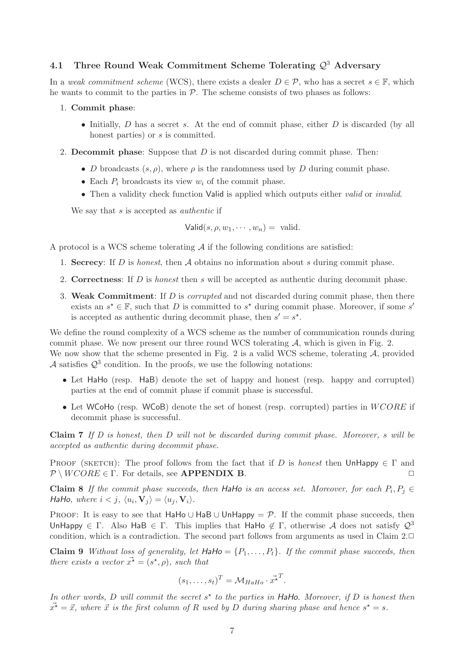# 4.1 Three Round Weak Commitment Scheme Tolerating  $\mathcal{Q}^3$  Adversary

In a weak commitment scheme (WCS), there exists a dealer  $D \in \mathcal{P}$ , who has a secret  $s \in \mathbb{F}$ , which he wants to commit to the parties in  $P$ . The scheme consists of two phases as follows:

- 1. Commit phase:
	- Initially,  $D$  has a secret s. At the end of commit phase, either  $D$  is discarded (by all honest parties) or s is committed.
- 2. Decommit phase: Suppose that  $D$  is not discarded during commit phase. Then:
	- D broadcasts  $(s, \rho)$ , where  $\rho$  is the randomness used by D during commit phase.
	- Each  $P_i$  broadcasts its view  $w_i$  of the commit phase.
	- Then a validity check function Valid is applied which outputs either valid or invalid.

We say that  $s$  is accepted as *authentic* if

$$
Valid(s, \rho, w_1, \cdots, w_n) = valid.
$$

A protocol is a WCS scheme tolerating  $A$  if the following conditions are satisfied:

- 1. Secrecy: If D is honest, then A obtains no information about s during commit phase.
- 2. Correctness: If  $D$  is *honest* then  $s$  will be accepted as authentic during decommit phase.
- 3. Weak Commitment: If  $D$  is *corrupted* and not discarded during commit phase, then there exists an  $s^* \in \mathbb{F}$ , such that D is committed to  $s^*$  during commit phase. Moreover, if some  $s'$ is accepted as authentic during decommit phase, then  $s' = s^*$ .

We define the round complexity of a WCS scheme as the number of communication rounds during commit phase. We now present our three round WCS tolerating  $A$ , which is given in Fig. 2. We now show that the scheme presented in Fig. 2 is a valid WCS scheme, tolerating  $A$ , provided A satisfies  $\mathcal{Q}^3$  condition. In the proofs, we use the following notations:

- Let HaHo (resp. HaB) denote the set of happy and honest (resp. happy and corrupted) parties at the end of commit phase if commit phase is successful.
- Let WCoHo (resp. WCoB) denote the set of honest (resp. corrupted) parties in  $WCORE$  if decommit phase is successful.

**Claim 7** If D is honest, then D will not be discarded during commit phase. Moreover, s will be accepted as authentic during decommit phase.

PROOF (SKETCH): The proof follows from the fact that if D is honest then UnHappy  $\in \Gamma$  and  $\mathcal{P} \setminus WCORE \in \Gamma$ . For details, see **APPENDIX B.**  $\Box$ 

Claim 8 If the commit phase succeeds, then HaHo is an access set. Moreover, for each  $P_i, P_j \in$ HaHo, where  $i < j$ ,  $\langle u_i, V_j \rangle = \langle u_j, V_i \rangle$ .

PROOF: It is easy to see that HaHo ∪ HaB ∪ UnHappy =  $\mathcal{P}$ . If the commit phase succeeds, then UnHappy  $\in \Gamma$ . Also HaB  $\in \Gamma$ . This implies that HaHo  $\notin \Gamma$ , otherwise A does not satisfy  $\mathcal{Q}^3$ condition, which is a contradiction. The second part follows from arguments as used in Claim 2. $\Box$ 

**Claim 9** Without loss of generality, let  $HaHo = \{P_1, \ldots, P_t\}$ . If the commit phase succeeds, then there exists a vector  $\vec{x^*} = (s^*, \rho)$ , such that

$$
(s_1, \ldots, s_t)^T = \mathcal{M}_{HaHo} \cdot \vec{x}^T.
$$

In other words, D will commit the secret  $s^*$  to the parties in HaHo. Moreover, if D is honest then  $\vec{x^*} = \vec{x}$ , where  $\vec{x}$  is the first column of R used by D during sharing phase and hence  $s^* = s$ .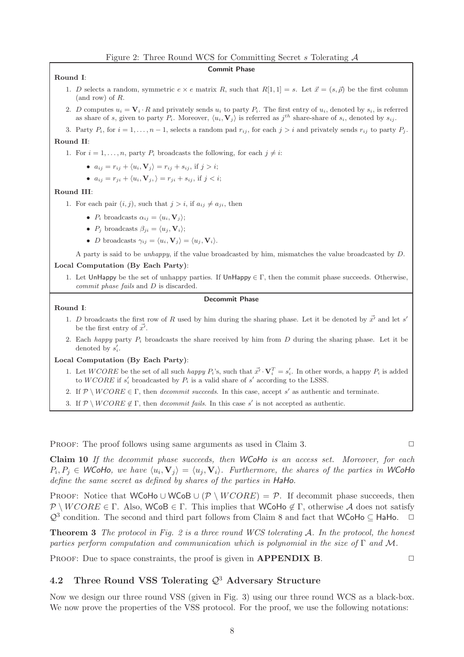#### Commit Phase

Round I:

- 1. D selects a random, symmetric  $e \times e$  matrix R, such that  $R[1, 1] = s$ . Let  $\vec{x} = (s, \vec{\rho})$  be the first column (and row) of R.
- 2. D computes  $u_i = \mathbf{V}_i \cdot R$  and privately sends  $u_i$  to party  $P_i$ . The first entry of  $u_i$ , denoted by  $s_i$ , is referred as share of s, given to party  $P_i$ . Moreover,  $\langle u_i, V_j \rangle$  is referred as  $j^{th}$  share-share of  $s_i$ , denoted by  $s_{ij}$ .
- 3. Party  $P_i$ , for  $i = 1, ..., n 1$ , selects a random pad  $r_{ij}$ , for each  $j > i$  and privately sends  $r_{ij}$  to party  $P_j$ .

#### Round II:

- 1. For  $i = 1, \ldots, n$ , party  $P_i$  broadcasts the following, for each  $j \neq i$ :
	- $a_{ij} = r_{ij} + \langle u_i, \mathbf{V}_j \rangle = r_{ij} + s_{ij}$ , if  $j > i$ ;
	- $a_{ij} = r_{ji} + \langle u_i, V_j, \rangle = r_{ji} + s_{ij}$ , if  $j < i$ ;

#### Round III:

- 1. For each pair  $(i, j)$ , such that  $j > i$ , if  $a_{ij} \neq a_{ji}$ , then
	- $P_i$  broadcasts  $\alpha_{ij} = \langle u_i, \mathbf{V}_j \rangle;$
	- $P_i$  broadcasts  $\beta_{ii} = \langle u_i, \mathbf{V}_i \rangle;$
	- D broadcasts  $\gamma_{ij} = \langle u_i, \mathbf{V}_j \rangle = \langle u_j, \mathbf{V}_i \rangle$ .

A party is said to be unhappy, if the value broadcasted by him, mismatches the value broadcasted by D.

### Local Computation (By Each Party):

1. Let UnHappy be the set of unhappy parties. If UnHappy  $\in \Gamma$ , then the commit phase succeeds. Otherwise, commit phase fails and D is discarded.

## Decommit Phase

#### Round I:

- 1. D broadcasts the first row of R used by him during the sharing phase. Let it be denoted by  $\vec{x'}$  and let s' be the first entry of  $\vec{x'}$ .
- 2. Each happy party  $P_i$  broadcasts the share received by him from D during the sharing phase. Let it be denoted by  $s_i'$ .

#### Local Computation (By Each Party):

- 1. Let  $WCORE$  be the set of all such *happy*  $P_i$ 's, such that  $\vec{x'} \cdot \mathbf{V}_i^T = s_i'$ . In other words, a happy  $P_i$  is added to  $WCORE$  if  $s'_{i}$  broadcasted by  $P_{i}$  is a valid share of  $s'$  according to the LSSS.
- 2. If  $\mathcal{P} \setminus WCORE \in \Gamma$ , then *decommit succeeds*. In this case, accept s' as authentic and terminate.
- 3. If  $\mathcal{P} \setminus WCORE \notin \Gamma$ , then *decommit fails*. In this case s' is not accepted as authentic.

PROOF: The proof follows using same arguments as used in Claim 3.  $\Box$ 

Claim 10 If the decommit phase succeeds, then WCoHo is an access set. Moreover, for each  $P_i, P_j \in W$ CoHo, we have  $\langle u_i, V_j \rangle = \langle u_j, V_i \rangle$ . Furthermore, the shares of the parties in WCoHo define the same secret as defined by shares of the parties in HaHo.

PROOF: Notice that WCoHo ∪ WCoB ∪ ( $\mathcal{P} \setminus WCORE$ ) =  $\mathcal{P}$ . If decommit phase succeeds, then  $\mathcal{P} \setminus WCORE \in \Gamma$ . Also, WCoB  $\in \Gamma$ . This implies that WCoHo  $\notin \Gamma$ , otherwise A does not satisfy  $\mathcal{Q}^3$  condition. The second and third part follows from Claim 8 and fact that WCoHo  $\subseteq$  HaHo.  $\Box$ 

**Theorem 3** The protocol in Fig. 2 is a three round WCS tolerating  $A$ . In the protocol, the honest parties perform computation and communication which is polynomial in the size of  $\Gamma$  and M.

PROOF: Due to space constraints, the proof is given in  $APPENDIX B$ .

# 4.2 Three Round VSS Tolerating  $\mathcal{Q}^3$  Adversary Structure

Now we design our three round VSS (given in Fig. 3) using our three round WCS as a black-box. We now prove the properties of the VSS protocol. For the proof, we use the following notations: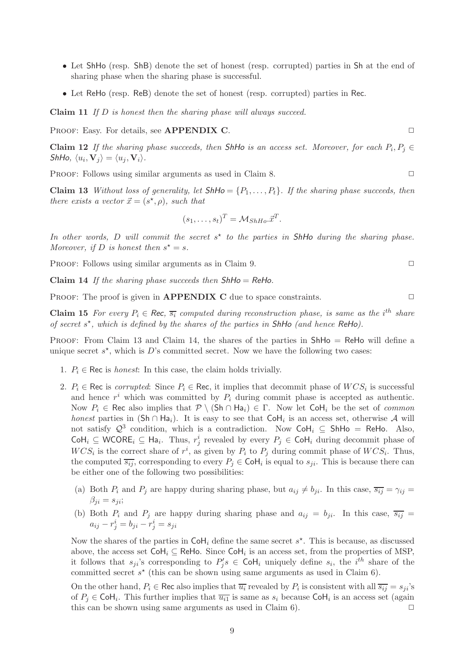- Let ShHo (resp. ShB) denote the set of honest (resp. corrupted) parties in Sh at the end of sharing phase when the sharing phase is successful.
- Let ReHo (resp. ReB) denote the set of honest (resp. corrupted) parties in Rec.

Claim 11 If D is honest then the sharing phase will always succeed.

PROOF: Easy. For details, see **APPENDIX C**.

**Claim 12** If the sharing phase succeeds, then ShHo is an access set. Moreover, for each  $P_i, P_j \in$ ShHo,  $\langle u_i, \mathbf{V}_j \rangle = \langle u_j, \mathbf{V}_i \rangle$ .

PROOF: Follows using similar arguments as used in Claim 8.

**Claim 13** Without loss of generality, let  $\mathsf{Shhlo} = \{P_1, \ldots, P_t\}$ . If the sharing phase succeeds, then there exists a vector  $\vec{x} = (s^*, \rho)$ , such that

$$
(s_1, \ldots, s_t)^T = \mathcal{M}_{ShHo}.\vec{x}^T.
$$

In other words, D will commit the secret  $s^*$  to the parties in ShHo during the sharing phase. Moreover, if D is honest then  $s^* = s$ .

PROOF: Follows using similar arguments as in Claim 9.  $\Box$ 

Claim 14 If the sharing phase succeeds then  $ShHo = ReHo$ .

PROOF: The proof is given in **APPENDIX C** due to space constraints.  $\Box$ 

**Claim 15** For every  $P_i \in \mathsf{Rec}$ ,  $\overline{s_i}$  computed during reconstruction phase, is same as the i<sup>th</sup> share of secret  $s^*$ , which is defined by the shares of the parties in ShHo (and hence ReHo).

PROOF: From Claim 13 and Claim 14, the shares of the parties in ShHo = ReHo will define a unique secret  $s^*$ , which is D's committed secret. Now we have the following two cases:

- 1.  $P_i \in \text{Rec}$  is *honest*: In this case, the claim holds trivially.
- 2.  $P_i \in \text{Rec}$  is corrupted: Since  $P_i \in \text{Rec}$ , it implies that decommit phase of  $WCS_i$  is successful and hence  $r^i$  which was committed by  $P_i$  during commit phase is accepted as authentic. Now  $P_i \in \text{Rec}$  also implies that  $\mathcal{P} \setminus (\text{Sh} \cap \text{Ha}_i) \in \Gamma$ . Now let  $\text{CoH}_i$  be the set of *common* honest parties in  $(Sh \cap Ha_i)$ . It is easy to see that  $Col_i$  is an access set, otherwise A will not satisfy  $\mathcal{Q}^3$  condition, which is a contradiction. Now  $\text{CoH}_i \subseteq \text{ShHo} = \text{ReHo}$ . Also, CoH<sub>i</sub> ⊆ WCORE<sub>i</sub> ⊆ Ha<sub>i</sub>. Thus,  $r_j^i$  revealed by every  $P_j \in \text{CoH}_i$  during decommit phase of  $WCS_i$  is the correct share of  $r^i$ , as given by  $P_i$  to  $P_j$  during commit phase of  $WCS_i$ . Thus, the computed  $\overline{s_{ij}}$ , corresponding to every  $P_j \in \text{CoH}_i$  is equal to  $s_{ji}$ . This is because there can be either one of the following two possibilities:
	- (a) Both  $P_i$  and  $P_j$  are happy during sharing phase, but  $a_{ij} \neq b_{ji}$ . In this case,  $\overline{s_{ij}} = \gamma_{ij} =$  $\beta_{ii} = s_{ii};$
	- (b) Both  $P_i$  and  $P_j$  are happy during sharing phase and  $a_{ij} = b_{ji}$ . In this case,  $\overline{s_{ij}}$  =  $a_{ij} - r_j^i = b_{ji} - r_j^i = s_{ji}$

Now the shares of the parties in  $\textsf{CoH}_i$  define the same secret  $s^*$ . This is because, as discussed above, the access set  $\text{CoH}_i \subseteq \text{ReHo}$ . Since  $\text{CoH}_i$  is an access set, from the properties of MSP, it follows that  $s_{ji}$ 's corresponding to  $P'_j$  $s'_{j}$ s  $\in$  CoH<sub>i</sub> uniquely define  $s_i$ , the i<sup>th</sup> share of the committed secret  $s^*$  (this can be shown using same arguments as used in Claim 6).

On the other hand,  $P_i \in \text{Rec}$  also implies that  $\overline{u_i}$  revealed by  $P_i$  is consistent with all  $\overline{s_{ij}} = s_{ji}$ 's of  $P_j \in \text{CoH}_i$ . This further implies that  $\overline{u_{i1}}$  is same as  $s_i$  because  $\text{CoH}_i$  is an access set (again this can be shown using same arguments as used in Claim 6).  $\Box$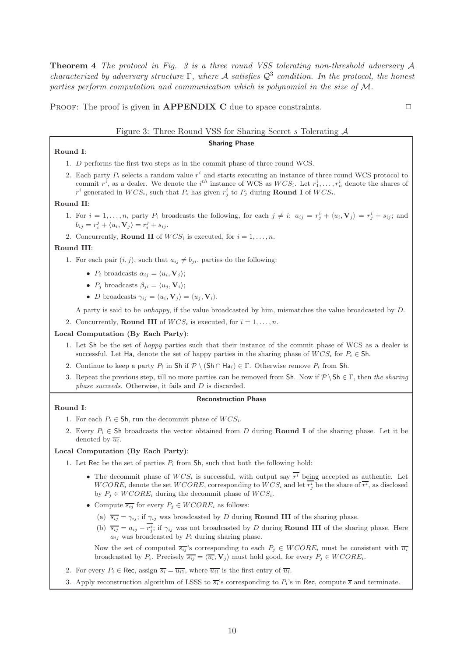Theorem 4 The protocol in Fig. 3 is a three round VSS tolerating non-threshold adversary A characterized by adversary structure  $\Gamma$ , where A satisfies  $\mathcal{Q}^3$  condition. In the protocol, the honest parties perform computation and communication which is polynomial in the size of M.

PROOF: The proof is given in **APPENDIX C** due to space constraints.  $\Box$ 

### Figure 3: Three Round VSS for Sharing Secret s Tolerating A

### Sharing Phase

### Round I:

- 1. D performs the first two steps as in the commit phase of three round WCS.
- 2. Each party  $P_i$  selects a random value  $r^i$  and starts executing an instance of three round WCS protocol to commit  $r^i$ , as a dealer. We denote the  $i^{th}$  instance of WCS as  $WCS_i$ . Let  $r_1^i, \ldots, r_n^i$  denote the shares of  $r^i$  generated in  $WCS_i$ , such that  $P_i$  has given  $r^i_j$  to  $P_j$  during **Round I** of  $WCS_i$ .

#### Round II:

- 1. For  $i = 1, \ldots, n$ , party  $P_i$  broadcasts the following, for each  $j \neq i$ :  $a_{ij} = r_j^i + \langle u_i, \mathbf{V}_j \rangle = r_j^i + s_{ij}$ ; and  $b_{ij} = r_i^j + \langle u_i, \mathbf{V}_j \rangle = r_i^j + s_{ij}.$
- 2. Concurrently, **Round II** of  $WCS_i$  is executed, for  $i = 1, \ldots, n$ .

#### Round III:

- 1. For each pair  $(i, j)$ , such that  $a_{ij} \neq b_{ji}$ , parties do the following:
	- $P_i$  broadcasts  $\alpha_{ij} = \langle u_i, \mathbf{V}_j \rangle;$
	- $P_j$  broadcasts  $\beta_{ji} = \langle u_j, \mathbf{V}_i \rangle;$
	- D broadcasts  $\gamma_{ij} = \langle u_i, V_j \rangle = \langle u_j, V_i \rangle$ .

A party is said to be unhappy, if the value broadcasted by him, mismatches the value broadcasted by D.

2. Concurrently, **Round III** of  $WCS_i$  is executed, for  $i = 1, \ldots, n$ .

## Local Computation (By Each Party):

- 1. Let Sh be the set of happy parties such that their instance of the commit phase of WCS as a dealer is successful. Let Ha<sub>i</sub> denote the set of happy parties in the sharing phase of  $WCS_i$  for  $P_i \in Sh$ .
- 2. Continue to keep a party  $P_i$  in Sh if  $\mathcal{P} \setminus (\mathsf{Sh} \cap \mathsf{Ha}_i) \in \Gamma$ . Otherwise remove  $P_i$  from Sh.
- 3. Repeat the previous step, till no more parties can be removed from Sh. Now if  $P \setminus Sh \in \Gamma$ , then the sharing phase succeeds. Otherwise, it fails and D is discarded.

#### Reconstruction Phase

#### Round I:

- 1. For each  $P_i \in Sh$ , run the decommit phase of  $WCS_i$ .
- 2. Every  $P_i \in Sh$  broadcasts the vector obtained from D during **Round I** of the sharing phase. Let it be denoted by  $\overline{u_i}$ .

### Local Computation (By Each Party):

1. Let Rec be the set of parties  $P_i$  from Sh, such that both the following hold:

- The decommit phase of  $WCS_i$  is successful, with output say  $r^i$  being accepted as authentic. Let  $WCORE<sub>i</sub>$  denote the set  $WCORE$ , corresponding to  $WCS<sub>i</sub>$  and let  $r_j^i$  be the share of  $\overline{r_i}$ , as disclosed by  $P_i \in WCORE_i$  during the decommit phase of  $WCS_i$ .
- Compute  $\overline{s_{ij}}$  for every  $P_i \in WCORE_i$  as follows:
	- (a)  $\overline{s_{ij}} = \gamma_{ij}$ ; if  $\gamma_{ij}$  was broadcasted by D during **Round III** of the sharing phase.
	- (b)  $\overline{s_{ij}} = a_{ij} r_j^i$ ; if  $\gamma_{ij}$  was not broadcasted by D during **Round III** of the sharing phase. Here  $a_{ij}$  was broadcasted by  $P_i$  during sharing phase.

Now the set of computed  $\overline{s_{ij}}$ 's corresponding to each  $P_j \in WCORE_i$  must be consistent with  $\overline{u_i}$ broadcasted by  $P_i$ . Precisely  $\overline{s_{ij}} = \langle \overline{u_i}, \mathbf{V}_j \rangle$  must hold good, for every  $P_j \in WCORE_i$ .

- 2. For every  $P_i \in \text{Rec}$ , assign  $\overline{s_i} = \overline{u_{i1}}$ , where  $\overline{u_{i1}}$  is the first entry of  $\overline{u_i}$ .
- 3. Apply reconstruction algorithm of LSSS to  $\overline{s_i}$ 's corresponding to  $P_i$ 's in Rec, compute  $\overline{s}$  and terminate.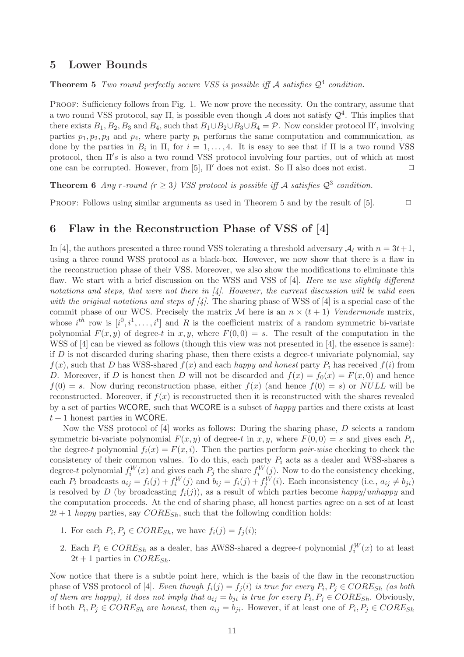# 5 Lower Bounds

**Theorem 5** Two round perfectly secure VSS is possible iff A satisfies  $Q^4$  condition.

PROOF: Sufficiency follows from Fig. 1. We now prove the necessity. On the contrary, assume that a two round VSS protocol, say  $\Pi$ , is possible even though A does not satisfy  $\mathcal{Q}^4$ . This implies that there exists  $B_1, B_2, B_3$  and  $B_4$ , such that  $B_1 \cup B_2 \cup B_3 \cup B_4 = \mathcal{P}$ . Now consider protocol  $\Pi'$ , involving parties  $p_1, p_2, p_3$  and  $p_4$ , where party  $p_i$  performs the same computation and communication, as done by the parties in  $B_i$  in  $\Pi$ , for  $i = 1, ..., 4$ . It is easy to see that if  $\Pi$  is a two round VSS protocol, then Π′ s is also a two round VSS protocol involving four parties, out of which at most one can be corrupted. However, from [5],  $\Pi'$  does not exist. So  $\Pi$  also does not exist.  $\Box$ 

**Theorem 6** Any r-round  $(r \geq 3)$  VSS protocol is possible iff A satisfies  $\mathcal{Q}^3$  condition.

PROOF: Follows using similar arguments as used in Theorem 5 and by the result of  $[5]$ .  $\Box$ 

# 6 Flaw in the Reconstruction Phase of VSS of [4]

In [4], the authors presented a three round VSS tolerating a threshold adversary  $A_t$  with  $n = 3t + 1$ , using a three round WSS protocol as a black-box. However, we now show that there is a flaw in the reconstruction phase of their VSS. Moreover, we also show the modifications to eliminate this flaw. We start with a brief discussion on the WSS and VSS of [4]. Here we use slightly different notations and steps, that were not there in  $\mathcal{A}$ . However, the current discussion will be valid even with the original notations and steps of  $\vert 4 \vert$ . The sharing phase of WSS of  $\vert 4 \vert$  is a special case of the commit phase of our WCS. Precisely the matrix M here is an  $n \times (t + 1)$  Vandermonde matrix, whose  $i^{th}$  row is  $[i^0, i^1, \ldots, i^t]$  and R is the coefficient matrix of a random symmetric bi-variate polynomial  $F(x, y)$  of degree-t in x,y, where  $F(0, 0) = s$ . The result of the computation in the WSS of [4] can be viewed as follows (though this view was not presented in [4], the essence is same): if  $D$  is not discarded during sharing phase, then there exists a degree-t univariate polynomial, say  $f(x)$ , such that D has WSS-shared  $f(x)$  and each happy and honest party  $P_i$  has received  $f(i)$  from D. Moreover, if D is honest then D will not be discarded and  $f(x) = f_0(x) = F(x, 0)$  and hence  $f(0) = s$ . Now during reconstruction phase, either  $f(x)$  (and hence  $f(0) = s$ ) or NULL will be reconstructed. Moreover, if  $f(x)$  is reconstructed then it is reconstructed with the shares revealed by a set of parties WCORE, such that WCORE is a subset of happy parties and there exists at least  $t + 1$  honest parties in WCORE.

Now the VSS protocol of [4] works as follows: During the sharing phase, D selects a random symmetric bi-variate polynomial  $F(x, y)$  of degree-t in  $x, y$ , where  $F(0, 0) = s$  and gives each  $P_i$ , the degree-t polynomial  $f_i(x) = F(x, i)$ . Then the parties perform *pair-wise* checking to check the consistency of their common values. To do this, each party  $P_i$  acts as a dealer and WSS-shares a degree-t polynomial  $f_i^W(x)$  and gives each  $P_j$  the share  $f_i^W(j)$ . Now to do the consistency checking, each  $P_i$  broadcasts  $a_{ij} = f_i(j) + f_i^W(j)$  and  $b_{ij} = f_i(j) + f_j^W(i)$ . Each inconsistency (i.e.,  $a_{ij} \neq b_{ji}$ ) is resolved by D (by broadcasting  $f_i(j)$ ), as a result of which parties become happy/unhappy and the computation proceeds. At the end of sharing phase, all honest parties agree on a set of at least  $2t + 1$  happy parties, say  $CORE_{Sh}$ , such that the following condition holds:

- 1. For each  $P_i, P_j \in CORE_{Sh}$ , we have  $f_i(j) = f_j(i);$
- 2. Each  $P_i \in CORE_{Sh}$  as a dealer, has AWSS-shared a degree-t polynomial  $f_i^W(x)$  to at least  $2t + 1$  parties in  $CORE_{Sh}$ .

Now notice that there is a subtle point here, which is the basis of the flaw in the reconstruction phase of VSS protocol of [4]. Even though  $f_i(j) = f_j(i)$  is true for every  $P_i, P_j \in CORE_{Sh}$  (as both of them are happy), it does not imply that  $a_{ij} = b_{ji}$  is true for every  $P_i, P_j \in CORE_{Sh}$ . Obviously, if both  $P_i, P_j \in CORE_{Sh}$  are honest, then  $a_{ij} = b_{ji}$ . However, if at least one of  $P_i, P_j \in CORE_{Sh}$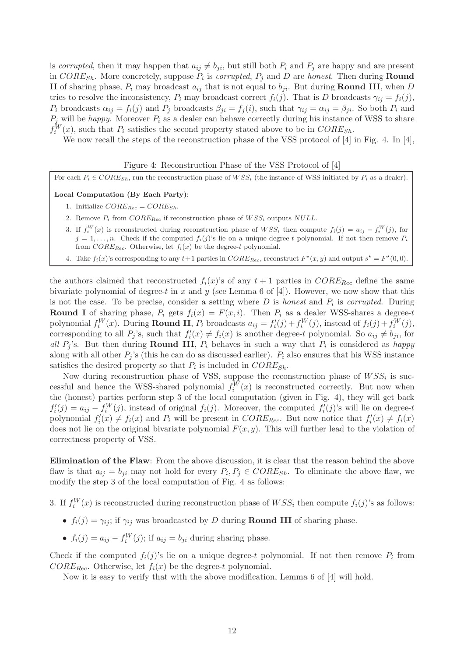is corrupted, then it may happen that  $a_{ij} \neq b_{ji}$ , but still both  $P_i$  and  $P_j$  are happy and are present in  $CORE_{Sh}$ . More concretely, suppose  $P_i$  is *corrupted*,  $P_j$  and D are *honest*. Then during **Round** II of sharing phase,  $P_i$  may broadcast  $a_{ij}$  that is not equal to  $b_{ji}$ . But during **Round III**, when D tries to resolve the inconsistency,  $P_i$  may broadcast correct  $f_i(j)$ . That is D broadcasts  $\gamma_{ij} = f_i(j)$ ,  $P_i$  broadcasts  $\alpha_{ij} = f_i(j)$  and  $P_j$  broadcasts  $\beta_{ji} = f_j(i)$ , such that  $\gamma_{ij} = \alpha_{ij} = \beta_{ji}$ . So both  $P_i$  and  $P_j$  will be happy. Moreover  $P_i$  as a dealer can behave correctly during his instance of WSS to share  $f_i^W(x)$ , such that  $P_i$  satisfies the second property stated above to be in  $CORE_{Sh}$ .

We now recall the steps of the reconstruction phase of the VSS protocol of [4] in Fig. 4. In [4],

# Figure 4: Reconstruction Phase of the VSS Protocol of [4]

For each  $P_i \in CORE_{Sh}$ , run the reconstruction phase of  $WSS_i$  (the instance of WSS initiated by  $P_i$  as a dealer).

# Local Computation (By Each Party):

- 1. Initialize  $CORE_{Rec} = CORE_{Sh}$ .
- 2. Remove  $P_i$  from  $CORE_{Rec}$  if reconstruction phase of  $WSS_i$  outputs  $NULL$ .
- 3. If  $f_i^W(x)$  is reconstructed during reconstruction phase of  $WSS_i$  then compute  $f_i(j) = a_{ij} f_i^W(j)$ , for  $j = 1, \ldots, n$ . Check if the computed  $f_i(j)$ 's lie on a unique degree-t polynomial. If not then remove  $P_i$ from  $CORE_{Rec}$ . Otherwise, let  $f_i(x)$  be the degree-t polynomial.
- 4. Take  $f_i(x)$ 's corresponding to any  $t+1$  parties in  $CORE_{Rec}$ , reconstruct  $F^*(x, y)$  and output  $s^* = F^*(0, 0)$ .

the authors claimed that reconstructed  $f_i(x)$ 's of any  $t + 1$  parties in  $CORE_{Rec}$  define the same bivariate polynomial of degree-t in x and y (see Lemma 6 of  $[4]$ ). However, we now show that this is not the case. To be precise, consider a setting where  $D$  is *honest* and  $P_i$  is *corrupted*. During **Round I** of sharing phase,  $P_i$  gets  $f_i(x) = F(x, i)$ . Then  $P_i$  as a dealer WSS-shares a degree-t polynomial  $f_i^W(x)$ . During **Round II**,  $P_i$  broadcasts  $a_{ij} = f'_i$  $f_i'(j) + f_i^W(j)$ , instead of  $f_i(j) + f_i^W(j)$ , corresponding to all  $P_j$ 's, such that  $f'_i$  $i'_i(x) \neq f_i(x)$  is another degree-t polynomial. So  $a_{ij} \neq b_{ji}$ , for all  $P_j$ 's. But then during **Round III**,  $P_i$  behaves in such a way that  $P_i$  is considered as happy along with all other  $P_i$ 's (this he can do as discussed earlier).  $P_i$  also ensures that his WSS instance satisfies the desired property so that  $P_i$  is included in  $CORE_{Sh}$ .

Now during reconstruction phase of VSS, suppose the reconstruction phase of  $WSS_i$  is successful and hence the WSS-shared polynomial  $f_i^W(x)$  is reconstructed correctly. But now when the (honest) parties perform step 3 of the local computation (given in Fig. 4), they will get back  $f_i'$  $i'_i(j) = a_{ij} - f_i^W(j)$ , instead of original  $f_i(j)$ . Moreover, the computed  $f_i^V$  $i'(j)$ 's will lie on degree-t polynomial  $f_i'$  $i'_{i}(x) \neq f_{i}(x)$  and  $P_{i}$  will be present in  $CORE_{Rec}$ . But now notice that  $f'_{i}$  $f_i'(x) \neq f_i(x)$ does not lie on the original bivariate polynomial  $F(x, y)$ . This will further lead to the violation of correctness property of VSS.

Elimination of the Flaw: From the above discussion, it is clear that the reason behind the above flaw is that  $a_{ij} = b_{ji}$  may not hold for every  $P_i, P_j \in CORE_{Sh}$ . To eliminate the above flaw, we modify the step 3 of the local computation of Fig. 4 as follows:

3. If  $f_i^W(x)$  is reconstructed during reconstruction phase of  $WSS_i$  then compute  $f_i(j)$ 's as follows:

- $f_i(j) = \gamma_{ij}$ ; if  $\gamma_{ij}$  was broadcasted by D during **Round III** of sharing phase.
- $f_i(j) = a_{ij} f_i^W(j)$ ; if  $a_{ij} = b_{ji}$  during sharing phase.

Check if the computed  $f_i(j)$ 's lie on a unique degree-t polynomial. If not then remove  $P_i$  from  $CORE_{Rec}$ . Otherwise, let  $f_i(x)$  be the degree-t polynomial.

Now it is easy to verify that with the above modification, Lemma 6 of [4] will hold.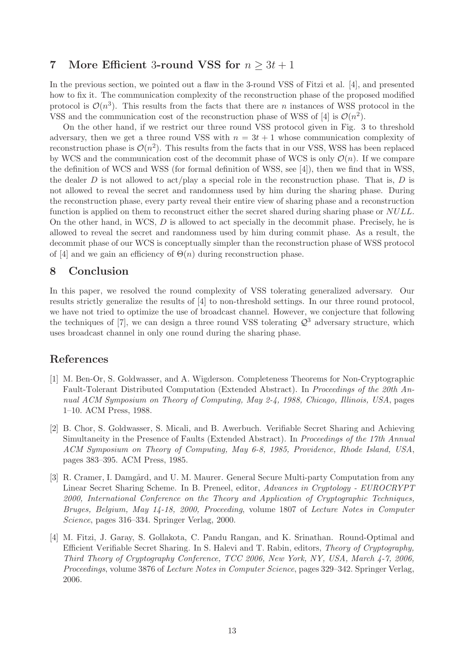# 7 More Efficient 3-round VSS for  $n \geq 3t + 1$

In the previous section, we pointed out a flaw in the 3-round VSS of Fitzi et al. [4], and presented how to fix it. The communication complexity of the reconstruction phase of the proposed modified protocol is  $\mathcal{O}(n^3)$ . This results from the facts that there are *n* instances of WSS protocol in the VSS and the communication cost of the reconstruction phase of WSS of [4] is  $\mathcal{O}(n^2)$ .

On the other hand, if we restrict our three round VSS protocol given in Fig. 3 to threshold adversary, then we get a three round VSS with  $n = 3t + 1$  whose communication complexity of reconstruction phase is  $\mathcal{O}(n^2)$ . This results from the facts that in our VSS, WSS has been replaced by WCS and the communication cost of the decommit phase of WCS is only  $\mathcal{O}(n)$ . If we compare the definition of WCS and WSS (for formal definition of WSS, see [4]), then we find that in WSS, the dealer D is not allowed to act/play a special role in the reconstruction phase. That is, D is not allowed to reveal the secret and randomness used by him during the sharing phase. During the reconstruction phase, every party reveal their entire view of sharing phase and a reconstruction function is applied on them to reconstruct either the secret shared during sharing phase or NULL. On the other hand, in WCS,  $D$  is allowed to act specially in the decommit phase. Precisely, he is allowed to reveal the secret and randomness used by him during commit phase. As a result, the decommit phase of our WCS is conceptually simpler than the reconstruction phase of WSS protocol of [4] and we gain an efficiency of  $\Theta(n)$  during reconstruction phase.

# 8 Conclusion

In this paper, we resolved the round complexity of VSS tolerating generalized adversary. Our results strictly generalize the results of [4] to non-threshold settings. In our three round protocol, we have not tried to optimize the use of broadcast channel. However, we conjecture that following the techniques of [7], we can design a three round VSS tolerating  $\mathcal{Q}^3$  adversary structure, which uses broadcast channel in only one round during the sharing phase.

# References

- [1] M. Ben-Or, S. Goldwasser, and A. Wigderson. Completeness Theorems for Non-Cryptographic Fault-Tolerant Distributed Computation (Extended Abstract). In Proceedings of the 20th Annual ACM Symposium on Theory of Computing, May 2-4, 1988, Chicago, Illinois, USA, pages 1–10. ACM Press, 1988.
- [2] B. Chor, S. Goldwasser, S. Micali, and B. Awerbuch. Verifiable Secret Sharing and Achieving Simultaneity in the Presence of Faults (Extended Abstract). In Proceedings of the 17th Annual ACM Symposium on Theory of Computing, May 6-8, 1985, Providence, Rhode Island, USA, pages 383–395. ACM Press, 1985.
- [3] R. Cramer, I. Damgård, and U. M. Maurer. General Secure Multi-party Computation from any Linear Secret Sharing Scheme. In B. Preneel, editor, Advances in Cryptology - EUROCRYPT 2000, International Conference on the Theory and Application of Cryptographic Techniques, Bruges, Belgium, May 14-18, 2000, Proceeding, volume 1807 of Lecture Notes in Computer Science, pages 316–334. Springer Verlag, 2000.
- [4] M. Fitzi, J. Garay, S. Gollakota, C. Pandu Rangan, and K. Srinathan. Round-Optimal and Efficient Verifiable Secret Sharing. In S. Halevi and T. Rabin, editors, Theory of Cryptography, Third Theory of Cryptography Conference, TCC 2006, New York, NY, USA, March 4-7, 2006, Proceedings, volume 3876 of Lecture Notes in Computer Science, pages 329–342. Springer Verlag, 2006.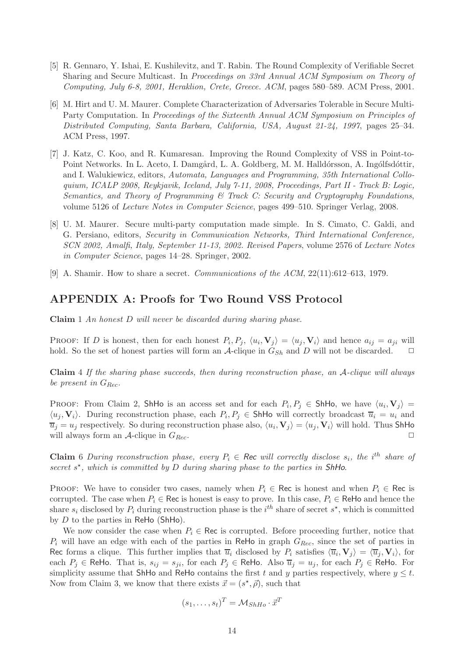- [5] R. Gennaro, Y. Ishai, E. Kushilevitz, and T. Rabin. The Round Complexity of Verifiable Secret Sharing and Secure Multicast. In Proceedings on 33rd Annual ACM Symposium on Theory of Computing, July 6-8, 2001, Heraklion, Crete, Greece. ACM, pages 580–589. ACM Press, 2001.
- [6] M. Hirt and U. M. Maurer. Complete Characterization of Adversaries Tolerable in Secure Multi-Party Computation. In Proceedings of the Sixteenth Annual ACM Symposium on Principles of Distributed Computing, Santa Barbara, California, USA, August 21-24, 1997, pages 25–34. ACM Press, 1997.
- [7] J. Katz, C. Koo, and R. Kumaresan. Improving the Round Complexity of VSS in Point-to-Point Networks. In L. Aceto, I. Damgård, L. A. Goldberg, M. M. Halldórsson, A. Ingólfsdóttir, and I. Walukiewicz, editors, Automata, Languages and Programming, 35th International Colloquium, ICALP 2008, Reykjavik, Iceland, July 7-11, 2008, Proceedings, Part II - Track B: Logic, Semantics, and Theory of Programming & Track C: Security and Cryptography Foundations, volume 5126 of Lecture Notes in Computer Science, pages 499–510. Springer Verlag, 2008.
- [8] U. M. Maurer. Secure multi-party computation made simple. In S. Cimato, C. Galdi, and G. Persiano, editors, Security in Communication Networks, Third International Conference, SCN 2002, Amalfi, Italy, September 11-13, 2002. Revised Papers, volume 2576 of Lecture Notes in Computer Science, pages 14–28. Springer, 2002.
- [9] A. Shamir. How to share a secret. *Communications of the ACM*,  $22(11):612-613$ , 1979.

# APPENDIX A: Proofs for Two Round VSS Protocol

Claim 1 An honest D will never be discarded during sharing phase.

**PROOF:** If D is honest, then for each honest  $P_i, P_j, \langle u_i, V_j \rangle = \langle u_j, V_i \rangle$  and hence  $a_{ij} = a_{ji}$  will hold. So the set of honest parties will form an A-clique in  $G_{Sh}$  and D will not be discarded.  $\Box$ 

Claim 4 If the sharing phase succeeds, then during reconstruction phase, an A-clique will always be present in  $G_{Rec}$ .

PROOF: From Claim 2, ShHo is an access set and for each  $P_i, P_j \in ShH$ o, we have  $\langle u_i, V_j \rangle =$  $\langle u_j, V_i \rangle$ . During reconstruction phase, each  $P_i, P_j \in Sh$ Ho will correctly broadcast  $\overline{u}_i = u_i$  and  $\overline{u}_j = u_j$  respectively. So during reconstruction phase also,  $\langle u_i, \mathbf{V}_j \rangle = \langle u_j, \mathbf{V}_i \rangle$  will hold. Thus ShHo will always form an A-clique in  $G_{Rec}$ .

**Claim** 6 During reconstruction phase, every  $P_i \in \text{Rec}$  will correctly disclose  $s_i$ , the i<sup>th</sup> share of secret  $s^*$ , which is committed by  $D$  during sharing phase to the parties in ShHo.

PROOF: We have to consider two cases, namely when  $P_i \in \text{Rec}$  is honest and when  $P_i \in \text{Rec}$  is corrupted. The case when  $P_i \in \text{Rec}$  is honest is easy to prove. In this case,  $P_i \in \text{ReHo}$  and hence the share  $s_i$  disclosed by  $P_i$  during reconstruction phase is the  $i^{th}$  share of secret  $s^*$ , which is committed by  $D$  to the parties in ReHo (ShHo).

We now consider the case when  $P_i \in \text{Rec}$  is corrupted. Before proceeding further, notice that  $P_i$  will have an edge with each of the parties in ReHo in graph  $G_{Rec}$ , since the set of parties in Rec forms a clique. This further implies that  $\overline{u}_i$  disclosed by  $P_i$  satisfies  $\langle \overline{u}_i, \mathbf{V}_j \rangle = \langle \overline{u}_j, \mathbf{V}_i \rangle$ , for each  $P_i \in \mathsf{ReHo}$ . That is,  $s_{ij} = s_{ji}$ , for each  $P_j \in \mathsf{ReHo}$ . Also  $\overline{u}_j = u_j$ , for each  $P_j \in \mathsf{ReHo}$ . For simplicity assume that ShHo and ReHo contains the first t and y parties respectively, where  $y \leq t$ . Now from Claim 3, we know that there exists  $\vec{x} = (s^*, \vec{\rho})$ , such that

$$
(s_1, \ldots, s_t)^T = \mathcal{M}_{ShHo} \cdot \vec{x}^T
$$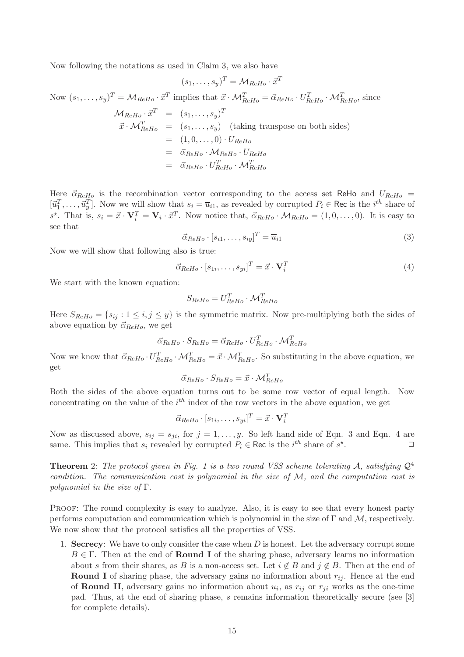Now following the notations as used in Claim 3, we also have

$$
(s_1,\ldots,s_y)^T = \mathcal{M}_{ReHo} \cdot \vec{x}^T
$$

Now  $(s_1, \ldots, s_y)^T = \mathcal{M}_{ReHo} \cdot \vec{x}^T$  implies that  $\vec{x} \cdot \mathcal{M}_{ReHo}^T = \vec{\alpha}_{ReHo} \cdot U_{ReHo}^T \cdot \mathcal{M}_{ReHo}^T$ , since

$$
\mathcal{M}_{ReHo} \cdot \vec{x}^T = (s_1, \dots, s_y)^T
$$
  

$$
\vec{x} \cdot \mathcal{M}_{ReHo}^T = (s_1, \dots, s_y) \text{ (taking transpose on both sides)}
$$
  

$$
= (1, 0, \dots, 0) \cdot U_{ReHo}
$$
  

$$
= \vec{\alpha}_{ReHo} \cdot \mathcal{M}_{ReHo} \cdot U_{ReHo}
$$
  

$$
= \vec{\alpha}_{ReHo} \cdot U_{ReHo}^T \cdot \mathcal{M}_{ReHo}^T
$$

Here  $\vec{\alpha}_{ReH_0}$  is the recombination vector corresponding to the access set ReHo and  $U_{ReH_0}$  =  $[\vec{u}_1^T,\ldots,\vec{u}_y^T]$ . Now we will show that  $s_i = \overline{u}_{i1}$ , as revealed by corrupted  $P_i \in \text{Rec}$  is the  $i^{th}$  share of  $s^*$ . That is,  $s_i = \vec{x} \cdot \mathbf{V}_i^T = \mathbf{V}_i \cdot \vec{x}^T$ . Now notice that,  $\vec{\alpha}_{ReHo} \cdot \mathcal{M}_{ReHo} = (1, 0, \dots, 0)$ . It is easy to see that

$$
\vec{\alpha}_{ReHo} \cdot [s_{i1}, \dots, s_{iy}]^T = \overline{u}_{i1}
$$
\n(3)

Now we will show that following also is true:

$$
\vec{\alpha}_{ReHo} \cdot [s_{1i}, \dots, s_{yi}]^T = \vec{x} \cdot \mathbf{V}_i^T
$$
\n(4)

We start with the known equation:

$$
S_{ReHo} = U_{ReHo}^T \cdot \mathcal{M}_{ReHo}^T
$$

Here  $S_{ReHo} = \{s_{ij} : 1 \le i, j \le y\}$  is the symmetric matrix. Now pre-multiplying both the sides of above equation by  $\vec{\alpha}_{ReHo}$ , we get

$$
\vec{\alpha}_{ReHo} \cdot S_{ReHo} = \vec{\alpha}_{ReHo} \cdot U_{ReHo}^T \cdot \mathcal{M}_{ReHo}^T
$$

Now we know that  $\vec{\alpha}_{ReHo} \cdot U_{ReHo}^T \cdot \mathcal{M}_{ReHo}^T = \vec{x} \cdot \mathcal{M}_{ReHo}^T$ . So substituting in the above equation, we get

$$
\vec{\alpha}_{ReHo} \cdot S_{ReHo} = \vec{x} \cdot \mathcal{M}_{ReHo}^T
$$

Both the sides of the above equation turns out to be some row vector of equal length. Now concentrating on the value of the  $i<sup>th</sup>$  index of the row vectors in the above equation, we get

$$
\vec{\alpha}_{ReHo} \cdot [s_{1i}, \ldots, s_{yi}]^T = \vec{x} \cdot \mathbf{V}_i^T
$$

Now as discussed above,  $s_{ij} = s_{ji}$ , for  $j = 1, \ldots, y$ . So left hand side of Eqn. 3 and Eqn. 4 are same. This implies that  $s_i$  revealed by corrupted  $P_i \in \text{Rec}$  is the  $i^{th}$  share of  $s^*$ .  $\Box$ 

**Theorem** 2: The protocol given in Fig. 1 is a two round VSS scheme tolerating A, satisfying  $Q^4$ condition. The communication cost is polynomial in the size of  $M$ , and the computation cost is polynomial in the size of  $\Gamma$ .

PROOF: The round complexity is easy to analyze. Also, it is easy to see that every honest party performs computation and communication which is polynomial in the size of  $\Gamma$  and  $\mathcal{M}$ , respectively. We now show that the protocol satisfies all the properties of VSS.

1. Secrecy: We have to only consider the case when  $D$  is honest. Let the adversary corrupt some  $B \in \Gamma$ . Then at the end of **Round I** of the sharing phase, adversary learns no information about s from their shares, as B is a non-access set. Let  $i \notin B$  and  $j \notin B$ . Then at the end of **Round I** of sharing phase, the adversary gains no information about  $r_{ij}$ . Hence at the end of **Round II**, adversary gains no information about  $u_i$ , as  $r_{ij}$  or  $r_{ji}$  works as the one-time pad. Thus, at the end of sharing phase, s remains information theoretically secure (see [3] for complete details).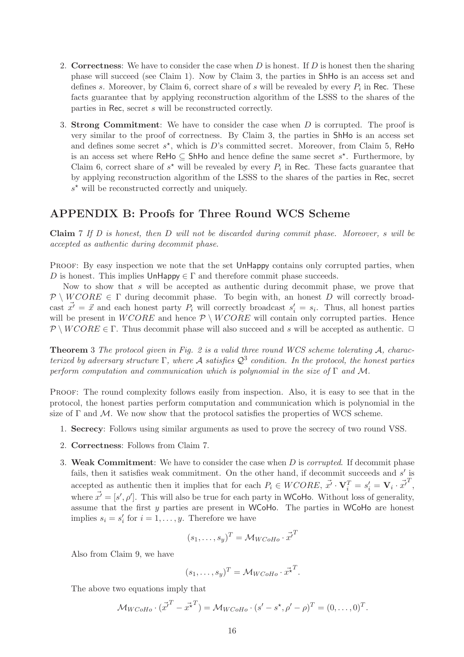- 2. Correctness: We have to consider the case when  $D$  is honest. If  $D$  is honest then the sharing phase will succeed (see Claim 1). Now by Claim 3, the parties in ShHo is an access set and defines s. Moreover, by Claim 6, correct share of s will be revealed by every  $P_i$  in Rec. These facts guarantee that by applying reconstruction algorithm of the LSSS to the shares of the parties in Rec, secret s will be reconstructed correctly.
- 3. Strong Commitment: We have to consider the case when D is corrupted. The proof is very similar to the proof of correctness. By Claim 3, the parties in ShHo is an access set and defines some secret  $s^*$ , which is D's committed secret. Moreover, from Claim 5, ReHo is an access set where ReHo  $\subseteq$  ShHo and hence define the same secret  $s^*$ . Furthermore, by Claim 6, correct share of  $s^*$  will be revealed by every  $P_i$  in Rec. These facts guarantee that by applying reconstruction algorithm of the LSSS to the shares of the parties in Rec, secret  $s^*$  will be reconstructed correctly and uniquely.

# APPENDIX B: Proofs for Three Round WCS Scheme

**Claim** 7 If D is honest, then D will not be discarded during commit phase. Moreover, s will be accepted as authentic during decommit phase.

PROOF: By easy inspection we note that the set UnHappy contains only corrupted parties, when D is honest. This implies  $\mathsf{UnHappy} \in \Gamma$  and therefore commit phase succeeds.

Now to show that s will be accepted as authentic during decommit phase, we prove that  $\mathcal{P} \setminus WCORE \in \Gamma$  during decommit phase. To begin with, an honest D will correctly broadcast  $\vec{x'} = \vec{x}$  and each honest party  $P_i$  will correctly broadcast  $s'_i = s_i$ . Thus, all honest parties will be present in  $WCORE$  and hence  $\mathcal{P} \setminus WCORE$  will contain only corrupted parties. Hence  $\mathcal{P} \setminus WCORE \in \Gamma$ . Thus decommit phase will also succeed and s will be accepted as authentic.  $\Box$ 

Theorem 3 The protocol given in Fig. 2 is a valid three round WCS scheme tolerating A, characterized by adversary structure  $\Gamma$ , where A satisfies  $\mathcal{Q}^3$  condition. In the protocol, the honest parties perform computation and communication which is polynomial in the size of  $\Gamma$  and M.

PROOF: The round complexity follows easily from inspection. Also, it is easy to see that in the protocol, the honest parties perform computation and communication which is polynomial in the size of  $\Gamma$  and M. We now show that the protocol satisfies the properties of WCS scheme.

- 1. Secrecy: Follows using similar arguments as used to prove the secrecy of two round VSS.
- 2. Correctness: Follows from Claim 7.
- 3. Weak Commitment: We have to consider the case when  $D$  is *corrupted*. If decommit phase fails, then it satisfies weak commitment. On the other hand, if decommit succeeds and  $s'$  is accepted as authentic then it implies that for each  $P_i \in WCORE$ ,  $\vec{x'} \cdot \mathbf{V}_i^T = s_i' = \mathbf{V}_i \cdot \vec{x'}^T$ , where  $\vec{x'} = [s', \rho']$ . This will also be true for each party in WCoHo. Without loss of generality, assume that the first  $y$  parties are present in WCoHo. The parties in WCoHo are honest implies  $s_i = s'_i$  $i_i$  for  $i = 1, \ldots, y$ . Therefore we have

$$
(s_1, \ldots, s_y)^T = \mathcal{M}_{WCoHo} \cdot \vec{x'}^T
$$

Also from Claim 9, we have

$$
(s_1,\ldots,s_y)^T = \mathcal{M}_{WCoHo} \cdot \vec{x^{\star}}^T.
$$

The above two equations imply that

$$
\mathcal{M}_{WCoHo} \cdot (\vec{x'}^T - \vec{x^*}^T) = \mathcal{M}_{WCoHo} \cdot (s' - s^*, \rho' - \rho)^T = (0, \dots, 0)^T.
$$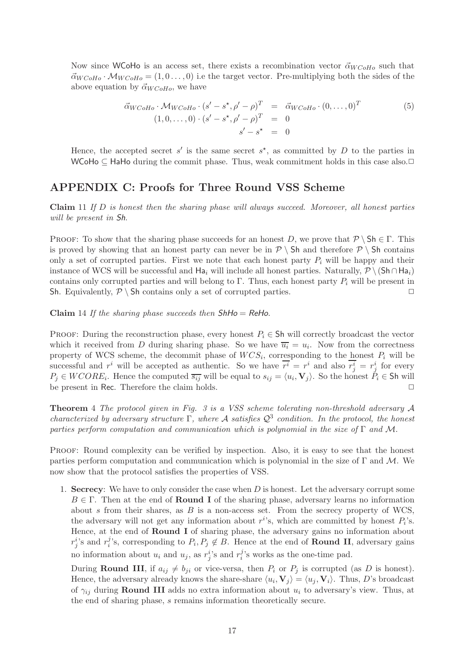Now since WCoHo is an access set, there exists a recombination vector  $\vec{\alpha}_{WCoHo}$  such that  $\vec{\alpha}_{WCoHo} \cdot \mathcal{M}_{WCoHo} = (1,0\ldots,0)$  i.e the target vector. Pre-multiplying both the sides of the above equation by  $\vec{\alpha}_{WCoHo}$ , we have

$$
\vec{\alpha}_{WCoHo} \cdot \mathcal{M}_{WCoHo} \cdot (s' - s^*, \rho' - \rho)^T = \vec{\alpha}_{WCoHo} \cdot (0, \dots, 0)^T
$$
\n
$$
(1, 0, \dots, 0) \cdot (s' - s^*, \rho' - \rho)^T = 0
$$
\n
$$
s' - s^* = 0
$$
\n
$$
(5)
$$

Hence, the accepted secret  $s'$  is the same secret  $s^*$ , as committed by D to the parties in WCoHo ⊆ HaHo during the commit phase. Thus, weak commitment holds in this case also.

# APPENDIX C: Proofs for Three Round VSS Scheme

Claim 11 If D is honest then the sharing phase will always succeed. Moreover, all honest parties will be present in Sh.

PROOF: To show that the sharing phase succeeds for an honest D, we prove that  $\mathcal{P} \setminus \mathsf{Sh} \in \Gamma$ . This is proved by showing that an honest party can never be in  $\mathcal{P} \setminus$  Sh and therefore  $\mathcal{P} \setminus$  Sh contains only a set of corrupted parties. First we note that each honest party  $P_i$  will be happy and their instance of WCS will be successful and Ha<sub>i</sub> will include all honest parties. Naturally,  $\mathcal{P} \setminus (\mathsf{Sh} \cap \mathsf{Ha}_i)$ contains only corrupted parties and will belong to Γ. Thus, each honest party  $P_i$  will be present in Sh. Equivalently,  $P \setminus$  Sh contains only a set of corrupted parties.

Claim 14 If the sharing phase succeeds then  $ShHo = ReHo$ .

PROOF: During the reconstruction phase, every honest  $P_i \in Sh$  will correctly broadcast the vector which it received from D during sharing phase. So we have  $\overline{u_i} = u_i$ . Now from the correctness property of WCS scheme, the decommit phase of  $WCS_i$ , corresponding to the honest  $P_i$  will be successful and  $r^i$  will be accepted as authentic. So we have  $\overline{r^i} = r^i$  and also  $r^i_j = r^i_j$  for every  $P_j \in WCORE_i$ . Hence the computed  $\overline{s_{ij}}$  will be equal to  $s_{ij} = \langle u_i, \mathbf{V}_j \rangle$ . So the honest  $P_i \in \mathsf{Sh}$  will be present in Rec. Therefore the claim holds.  $\square$ 

Theorem 4 The protocol given in Fig. 3 is a VSS scheme tolerating non-threshold adversary A characterized by adversary structure  $\Gamma$ , where A satisfies  $\mathcal{Q}^3$  condition. In the protocol, the honest parties perform computation and communication which is polynomial in the size of  $\Gamma$  and M.

PROOF: Round complexity can be verified by inspection. Also, it is easy to see that the honest parties perform computation and communication which is polynomial in the size of  $\Gamma$  and  $\mathcal{M}$ . We now show that the protocol satisfies the properties of VSS.

1. Secrecy: We have to only consider the case when  $D$  is honest. Let the adversary corrupt some  $B \in \Gamma$ . Then at the end of **Round I** of the sharing phase, adversary learns no information about s from their shares, as  $B$  is a non-access set. From the secrecy property of WCS, the adversary will not get any information about  $r^i$ 's, which are committed by honest  $P_i$ 's. Hence, at the end of **Round I** of sharing phase, the adversary gains no information about  $r_j^i$ 's and  $r_i^j$ <sup>*j*</sup>'s, corresponding to  $P_i, P_j \notin B$ . Hence at the end of **Round II**, adversary gains no information about  $u_i$  and  $u_j$ , as  $r_j^i$ 's and  $r_i^j$  $i$ 's works as the one-time pad.

During **Round III**, if  $a_{ij} \neq b_{ji}$  or vice-versa, then  $P_i$  or  $P_j$  is corrupted (as D is honest). Hence, the adversary already knows the share-share  $\langle u_i, \mathbf{V}_j \rangle = \langle u_j, \mathbf{V}_i \rangle$ . Thus, D's broadcast of  $\gamma_{ij}$  during **Round III** adds no extra information about  $u_i$  to adversary's view. Thus, at the end of sharing phase, s remains information theoretically secure.